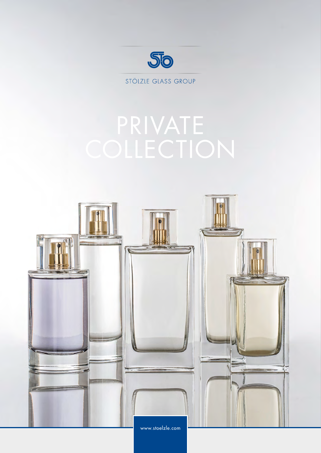

STÖLZLE GLASS GROUP

## PRIVATE

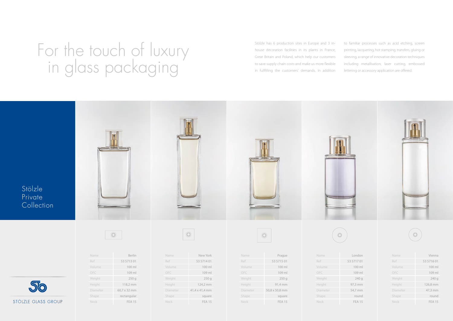Stölzle has 6 production sites in Europe and 3 inhouse decoration facilities in its plants in France, Great Britain and Poland, which help our customers to save supply chain costs and make us more flexible in fullfilling the customers' demands. In addition

to familiar processes such as acid etching, screen printing, lacquering, hot stamping, transfers, gluing or sleeving, a range of innovative decoration techniques including metallisation, laser cutting, embossed lettering or accessory application are offered.

## For the touch of luxury in glass packaging